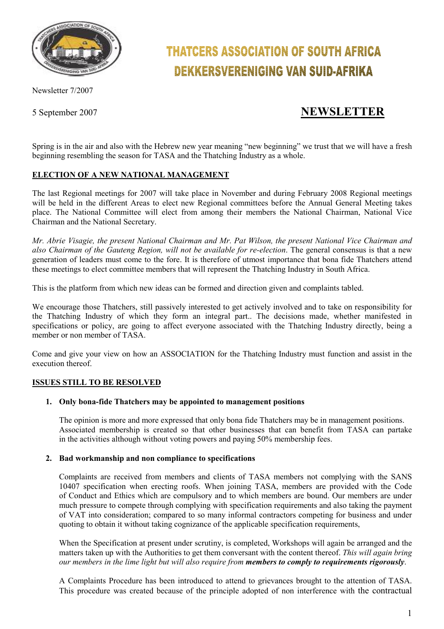

Newsletter 7/2007

# **THATCERS ASSOCIATION OF SOUTH AFRICA DEKKERSVERENIGING VAN SUID-AFRIKA**

## 5 September 2007 **NEWSLETTER**

Spring is in the air and also with the Hebrew new year meaning "new beginning" we trust that we will have a fresh beginning resembling the season for TASA and the Thatching Industry as a whole.

### **ELECTION OF A NEW NATIONAL MANAGEMENT**

The last Regional meetings for 2007 will take place in November and during February 2008 Regional meetings will be held in the different Areas to elect new Regional committees before the Annual General Meeting takes place. The National Committee will elect from among their members the National Chairman, National Vice Chairman and the National Secretary.

*Mr. Abrie Visagie, the present National Chairman and Mr. Pat Wilson, the present National Vice Chairman and also Chairman of the Gauteng Region, will not be available for re-election*. The general consensus is that a new generation of leaders must come to the fore. It is therefore of utmost importance that bona fide Thatchers attend these meetings to elect committee members that will represent the Thatching Industry in South Africa.

This is the platform from which new ideas can be formed and direction given and complaints tabled.

We encourage those Thatchers, still passively interested to get actively involved and to take on responsibility for the Thatching Industry of which they form an integral part.. The decisions made, whether manifested in specifications or policy, are going to affect everyone associated with the Thatching Industry directly, being a member or non member of TASA.

Come and give your view on how an ASSOCIATION for the Thatching Industry must function and assist in the execution thereof.

#### **ISSUES STILL TO BE RESOLVED**

#### **1. Only bona-fide Thatchers may be appointed to management positions**

The opinion is more and more expressed that only bona fide Thatchers may be in management positions. Associated membership is created so that other businesses that can benefit from TASA can partake in the activities although without voting powers and paying 50% membership fees.

#### **2. Bad workmanship and non compliance to specifications**

Complaints are received from members and clients of TASA members not complying with the SANS 10407 specification when erecting roofs. When joining TASA, members are provided with the Code of Conduct and Ethics which are compulsory and to which members are bound. Our members are under much pressure to compete through complying with specification requirements and also taking the payment of VAT into consideration; compared to so many informal contractors competing for business and under quoting to obtain it without taking cognizance of the applicable specification requirements,

When the Specification at present under scrutiny, is completed, Workshops will again be arranged and the matters taken up with the Authorities to get them conversant with the content thereof. *This will again bring our members in the lime light but will also require from members to comply to requirements rigorously*.

A Complaints Procedure has been introduced to attend to grievances brought to the attention of TASA. This procedure was created because of the principle adopted of non interference with the contractual